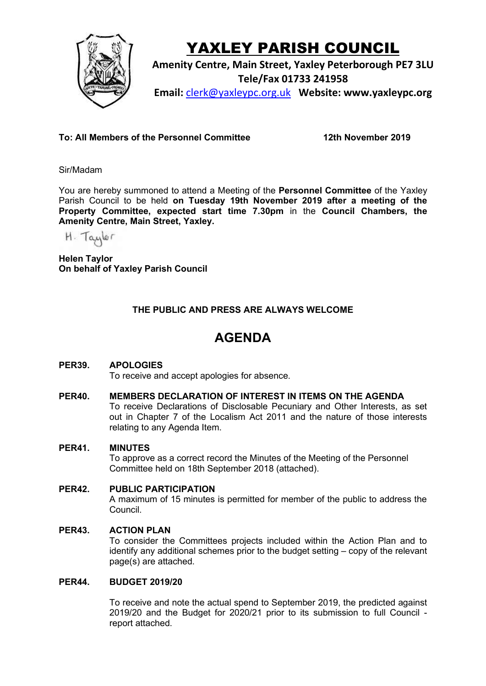

# YAXLEY PARISH COUNCIL

**Amenity Centre, Main Street, Yaxley Peterborough PE7 3LU Tele/Fax 01733 241958 Email:** [clerk@yaxleypc.org.uk](mailto:clerk@yaxleypc.org.uk) **Website: www.yaxleypc.org**

**To: All Members of the Personnel Committee 12th November 2019**

Sir/Madam

You are hereby summoned to attend a Meeting of the **Personnel Committee** of the Yaxley Parish Council to be held **on Tuesday 19th November 2019 after a meeting of the Property Committee, expected start time 7.30pm** in the **Council Chambers, the Amenity Centre, Main Street, Yaxley.**

H. Taylor

**Helen Taylor On behalf of Yaxley Parish Council**

## **THE PUBLIC AND PRESS ARE ALWAYS WELCOME**

# **AGENDA**

### **PER39. APOLOGIES**

To receive and accept apologies for absence.

#### **PER40. MEMBERS DECLARATION OF INTEREST IN ITEMS ON THE AGENDA**

To receive Declarations of Disclosable Pecuniary and Other Interests, as set out in Chapter 7 of the Localism Act 2011 and the nature of those interests relating to any Agenda Item.

#### **PER41. MINUTES**

To approve as a correct record the Minutes of the Meeting of the Personnel Committee held on 18th September 2018 (attached).

#### **PER42. PUBLIC PARTICIPATION**

A maximum of 15 minutes is permitted for member of the public to address the Council.

#### **PER43. ACTION PLAN**

To consider the Committees projects included within the Action Plan and to identify any additional schemes prior to the budget setting – copy of the relevant page(s) are attached.

#### **PER44. BUDGET 2019/20**

To receive and note the actual spend to September 2019, the predicted against 2019/20 and the Budget for 2020/21 prior to its submission to full Council report attached.